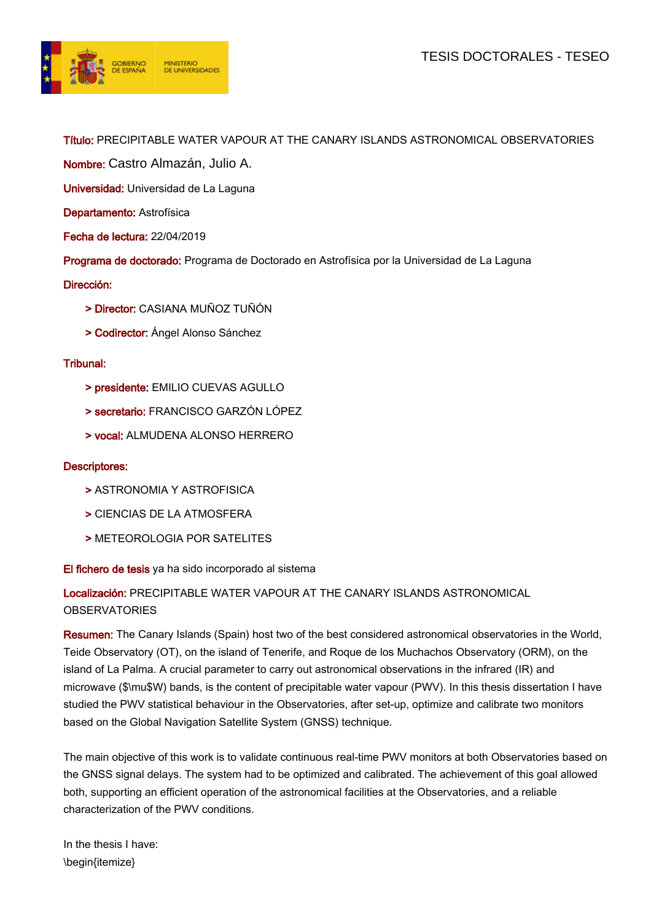

Título: PRECIPITABLE WATER VAPOUR AT THE CANARY ISLANDS ASTRONOMICAL OBSERVATORIES

Nombre: Castro Almazán, Julio A.

Universidad: Universidad de La Laguna

Departamento: Astrofísica

Fecha de lectura: 22/04/2019

Programa de doctorado: Programa de Doctorado en Astrofísica por la Universidad de La Laguna

Dirección:

- > Director: CASIANA MUÑOZ TUÑÓN
- > Codirector: Ángel Alonso Sánchez

## Tribunal:

- > presidente: EMILIO CUEVAS AGULLO
- > secretario: FRANCISCO GARZÓN LÓPEZ
- > vocal: ALMUDENA ALONSO HERRERO

## Descriptores:

- > ASTRONOMIA Y ASTROFISICA
- > CIENCIAS DE LA ATMOSFERA
- > METEOROLOGIA POR SATELITES

El fichero de tesis ya ha sido incorporado al sistema

## Localización: PRECIPITABLE WATER VAPOUR AT THE CANARY ISLANDS ASTRONOMICAL **OBSERVATORIES**

Resumen: The Canary Islands (Spain) host two of the best considered astronomical observatories in the World, Teide Observatory (OT), on the island of Tenerife, and Roque de los Muchachos Observatory (ORM), on the island of La Palma. A crucial parameter to carry out astronomical observations in the infrared (IR) and microwave (\$\mu\$W) bands, is the content of precipitable water vapour (PWV). In this thesis dissertation I have studied the PWV statistical behaviour in the Observatories, after set-up, optimize and calibrate two monitors based on the Global Navigation Satellite System (GNSS) technique.

The main objective of this work is to validate continuous real-time PWV monitors at both Observatories based on the GNSS signal delays. The system had to be optimized and calibrated. The achievement of this goal allowed both, supporting an efficient operation of the astronomical facilities at the Observatories, and a reliable characterization of the PWV conditions.

In the thesis I have: \begin{itemize}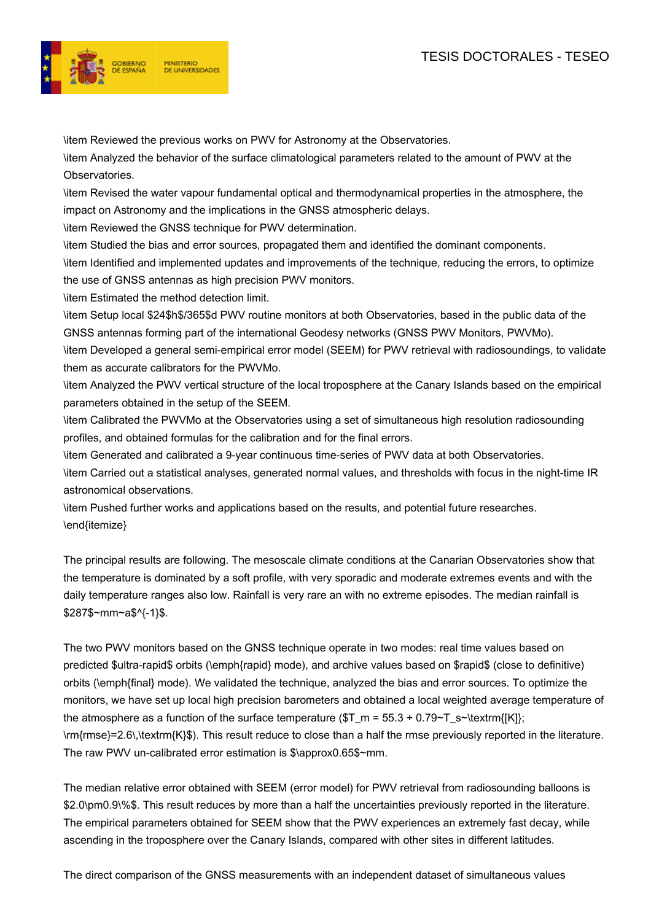

\item Reviewed the previous works on PWV for Astronomy at the Observatories.

\item Analyzed the behavior of the surface climatological parameters related to the amount of PWV at the Observatories.

\item Revised the water vapour fundamental optical and thermodynamical properties in the atmosphere, the impact on Astronomy and the implications in the GNSS atmospheric delays.

\item Reviewed the GNSS technique for PWV determination.

\item Studied the bias and error sources, propagated them and identified the dominant components. \item Identified and implemented updates and improvements of the technique, reducing the errors, to optimize the use of GNSS antennas as high precision PWV monitors.

\item Estimated the method detection limit.

\item Setup local \$24\$h\$/365\$d PWV routine monitors at both Observatories, based in the public data of the GNSS antennas forming part of the international Geodesy networks (GNSS PWV Monitors, PWVMo).

\item Developed a general semi-empirical error model (SEEM) for PWV retrieval with radiosoundings, to validate them as accurate calibrators for the PWVMo.

\item Analyzed the PWV vertical structure of the local troposphere at the Canary Islands based on the empirical parameters obtained in the setup of the SEEM.

\item Calibrated the PWVMo at the Observatories using a set of simultaneous high resolution radiosounding profiles, and obtained formulas for the calibration and for the final errors.

\item Generated and calibrated a 9-year continuous time-series of PWV data at both Observatories.

\item Carried out a statistical analyses, generated normal values, and thresholds with focus in the night-time IR astronomical observations.

\item Pushed further works and applications based on the results, and potential future researches. \end{itemize}

The principal results are following. The mesoscale climate conditions at the Canarian Observatories show that the temperature is dominated by a soft profile, with very sporadic and moderate extremes events and with the daily temperature ranges also low. Rainfall is very rare an with no extreme episodes. The median rainfall is \$287\$~mm~a\$^{-1}\$.

The two PWV monitors based on the GNSS technique operate in two modes: real time values based on predicted \$ultra-rapid\$ orbits (\emph{rapid} mode), and archive values based on \$rapid\$ (close to definitive) orbits (\emph{final} mode). We validated the technique, analyzed the bias and error sources. To optimize the monitors, we have set up local high precision barometers and obtained a local weighted average temperature of the atmosphere as a function of the surface temperature ( $T_m = 55.3 + 0.79 - T_s$  -\textrm{[K]}; \rm{rmse}=2.6\,\textrm{K}\$). This result reduce to close than a half the rmse previously reported in the literature. The raw PWV un-calibrated error estimation is \$\approx0.65\$~mm.

The median relative error obtained with SEEM (error model) for PWV retrieval from radiosounding balloons is \$2.0\pm0.9\%\$. This result reduces by more than a half the uncertainties previously reported in the literature. The empirical parameters obtained for SEEM show that the PWV experiences an extremely fast decay, while ascending in the troposphere over the Canary Islands, compared with other sites in different latitudes.

The direct comparison of the GNSS measurements with an independent dataset of simultaneous values